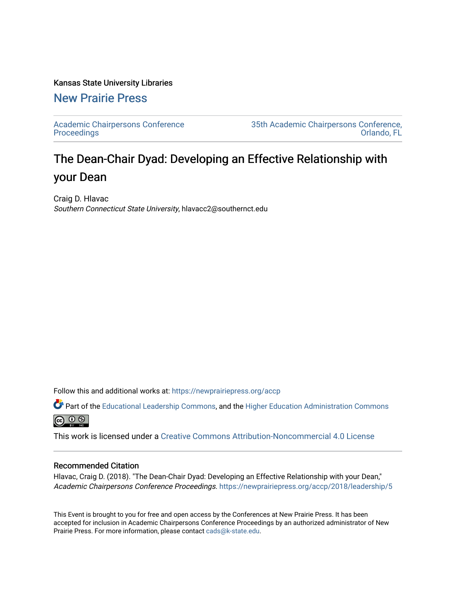#### Kansas State University Libraries

## [New Prairie Press](https://newprairiepress.org/)

[Academic Chairpersons Conference](https://newprairiepress.org/accp)  **Proceedings** 

[35th Academic Chairpersons Conference,](https://newprairiepress.org/accp/2018)  [Orlando, FL](https://newprairiepress.org/accp/2018) 

# The Dean-Chair Dyad: Developing an Effective Relationship with your Dean

Craig D. Hlavac Southern Connecticut State University, hlavacc2@southernct.edu

Follow this and additional works at: [https://newprairiepress.org/accp](https://newprairiepress.org/accp?utm_source=newprairiepress.org%2Faccp%2F2018%2Fleadership%2F5&utm_medium=PDF&utm_campaign=PDFCoverPages) 

Part of the [Educational Leadership Commons,](http://network.bepress.com/hgg/discipline/1230?utm_source=newprairiepress.org%2Faccp%2F2018%2Fleadership%2F5&utm_medium=PDF&utm_campaign=PDFCoverPages) and the [Higher Education Administration Commons](http://network.bepress.com/hgg/discipline/791?utm_source=newprairiepress.org%2Faccp%2F2018%2Fleadership%2F5&utm_medium=PDF&utm_campaign=PDFCoverPages) @ 0 ®

This work is licensed under a [Creative Commons Attribution-Noncommercial 4.0 License](https://creativecommons.org/licenses/by-nc/4.0/)

#### Recommended Citation

Hlavac, Craig D. (2018). "The Dean-Chair Dyad: Developing an Effective Relationship with your Dean," Academic Chairpersons Conference Proceedings. <https://newprairiepress.org/accp/2018/leadership/5>

This Event is brought to you for free and open access by the Conferences at New Prairie Press. It has been accepted for inclusion in Academic Chairpersons Conference Proceedings by an authorized administrator of New Prairie Press. For more information, please contact [cads@k-state.edu.](mailto:cads@k-state.edu)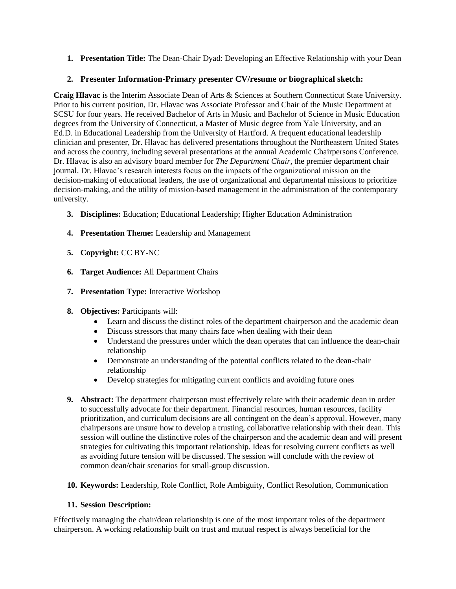**1. Presentation Title:** The Dean-Chair Dyad: Developing an Effective Relationship with your Dean

### **2. Presenter Information-Primary presenter CV/resume or biographical sketch:**

**Craig Hlavac** is the Interim Associate Dean of Arts & Sciences at Southern Connecticut State University. Prior to his current position, Dr. Hlavac was Associate Professor and Chair of the Music Department at SCSU for four years. He received Bachelor of Arts in Music and Bachelor of Science in Music Education degrees from the University of Connecticut, a Master of Music degree from Yale University, and an Ed.D. in Educational Leadership from the University of Hartford. A frequent educational leadership clinician and presenter, Dr. Hlavac has delivered presentations throughout the Northeastern United States and across the country, including several presentations at the annual Academic Chairpersons Conference. Dr. Hlavac is also an advisory board member for *The Department Chair*, the premier department chair journal. Dr. Hlavac's research interests focus on the impacts of the organizational mission on the decision-making of educational leaders, the use of organizational and departmental missions to prioritize decision-making, and the utility of mission-based management in the administration of the contemporary university.

- **3. Disciplines:** Education; Educational Leadership; Higher Education Administration
- **4. Presentation Theme:** Leadership and Management
- **5. Copyright:** CC BY-NC
- **6. Target Audience:** All Department Chairs
- **7. Presentation Type:** Interactive Workshop
- **8. Objectives:** Participants will:
	- Learn and discuss the distinct roles of the department chairperson and the academic dean
	- Discuss stressors that many chairs face when dealing with their dean
	- Understand the pressures under which the dean operates that can influence the dean-chair relationship
	- Demonstrate an understanding of the potential conflicts related to the dean-chair relationship
	- Develop strategies for mitigating current conflicts and avoiding future ones
- **9. Abstract:** The department chairperson must effectively relate with their academic dean in order to successfully advocate for their department. Financial resources, human resources, facility prioritization, and curriculum decisions are all contingent on the dean's approval. However, many chairpersons are unsure how to develop a trusting, collaborative relationship with their dean. This session will outline the distinctive roles of the chairperson and the academic dean and will present strategies for cultivating this important relationship. Ideas for resolving current conflicts as well as avoiding future tension will be discussed. The session will conclude with the review of common dean/chair scenarios for small-group discussion.
- **10. Keywords:** Leadership, Role Conflict, Role Ambiguity, Conflict Resolution, Communication

#### **11. Session Description:**

Effectively managing the chair/dean relationship is one of the most important roles of the department chairperson. A working relationship built on trust and mutual respect is always beneficial for the